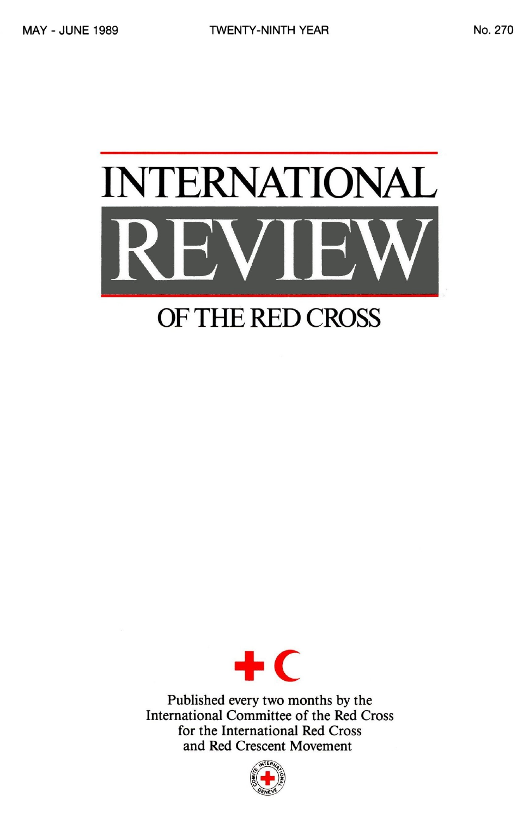

## OF THE RED CROSS



Published every two months by the International Committee of the Red Cross for the International Red Cross and Red Crescent Movement

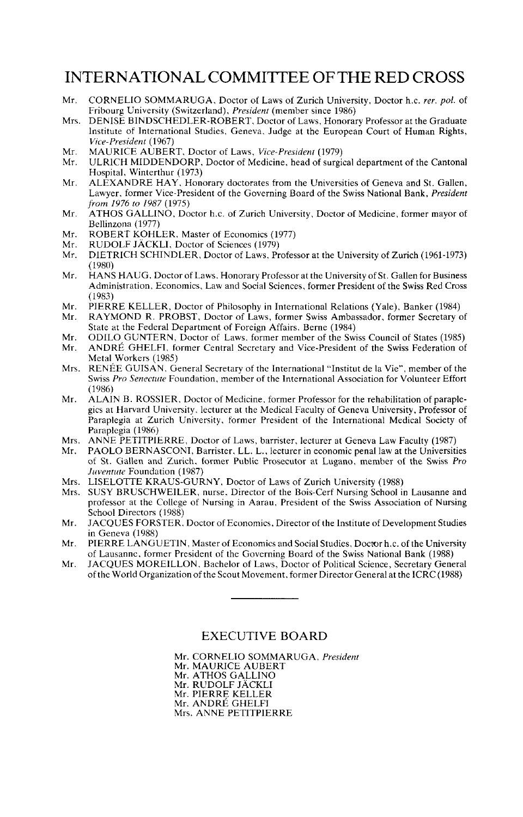#### INTERNATIONAL COMMITTEE OF THE RED CROSS

- Mr. CORNEL1O SOMMARUGA, Doctor of Laws of Zurich University, Doctor h.c. *rer. pol.* of Fribourg University (Switzerland), *President* (member since 1986)
- Mrs. DENISE BINDSCHEDLER-ROBERT, Doctor of Laws, Honorary Professor at the Graduate<br>Institute of International Studies, Geneva, Judge at the European Court of Human Rights,<br>*Vice-President* (1967)<br>*Mr. MAURICE AUBERT*. Doc
- Mr. MAURICE AUBERT, Doctor of Laws, *Vice-President* (1979)
- ULRICH MIDDENDORP, Doctor of Medicine, head of surgical department of the Cantonal Hospital, Winterthur (1973)
- Mr. ALEXANDRE HAY, Honorary doctorates from the Universities of Geneva and St. Gallen, Lawyer, former Vice-President of the Governing Board of the Swiss National Bank, *President from 1976 to 1987* (1975)
- Mr. ATHOS GALLINO, Doctor h.c. of Zurich University, Doctor of Medicine, former mayor of Bellinzona (1977)
- Mr. ROBERT KOHLER, Master of Economics (1977)<br>Mr. RUDOLE JÄCKLI, Doctor of Sciences (1979)
- Mr. RUDOLF JÄCKLI, Doctor of Sciences (1979)<br>Mr. DIETRICH SCHINDLER, Doctor of Laws, Pr.
- DIETRICH SCHINDLER, Doctor of Laws, Professor at the University of Zurich (1961-1973) (1980)
- Mr. HANS HAUG, Doctor of Laws, Honorary Professor at the University of St. Gallen for Business Administration, Economics, Law and Social Sciences, former President of the Swiss Red Cross (1983)
- Mr. PIERRE KELLER, Doctor of Philosophy in International Relations (Yale), Banker (1984)
- RAYMOND R. PROBST, Doctor of Laws, former Swiss Ambassador, former Secretary of State at the Federal Department of Foreign Affairs, Berne (1984)
- Mr. ODILO GUNTERN, Doctor of Laws, former member of the Swiss Council of States (1985)<br>Mr. ANDRÉ GHELFL former Central Secretary and Vice-President of the Swiss Federation of
- ANDRÉ GHELFI, former Central Secretary and Vice-President of the Swiss Federation of Metal Workers (1985)
- Mrs. RENEE GUISAN, General Secretary of the International "Institut de la Vie", member of the Swiss *Pro Senectute* Foundation, member of the International Association for Volunteer Effort (1986)<br>ALAIN B. ROSSIER, Doctor of Medicine, former Professor for the rehabilitation of paraple-
- Mr. ALAIN B. ROSSIER, Doctor of Medicine, former Professor for the rehabilitation of paraple- gics at Harvard University, lecturer at the Medical Faculty of Geneva University, Professor of Paraplegia at Zurich University, former President of the International Medical Society of Paraplegia (1986)
- Mrs. ANNE PETITPIERRE, Doctor of Laws, barrister, lecturer at Geneva Law Faculty (1987)<br>Mr. PAOLO BERNASCONI Barrister LL L. lecturer in economic penal law at the Universiti
- PAOLO BERNASCONI, Barrister, LL. L., lecturer in economic penal law at the Universities of St. Gallen and Zurich, former Public Prosecutor at Lugano, member of the Swiss *Pro Juventute* Foundation (1987)
- Mrs. LISELOTTE KRAUS-GURNY, Doctor of Laws of Zurich University (1988)
- Mrs. SUSY BRUSCHWEILER, nurse. Director of the Bois-Cerf Nursing School in Lausanne and professor at the College of Nursing in Aarau, President of the Swiss Association of Nursing School Directors (1988)
- Mr. JACQUES FORSTER, Doctor of Economics, Director of the Institute of Development Studies<br>in Geneva (1988)<br>Mr. PIERRE LANGUETIN, Master of Economics and Social Studies, Doctor h.c. of the University
- of Lausanne, former President of the Governing Board of the Swiss National Bank (1988)<br>Mr. JACQUES MOREILLON, Bachelor of Laws, Doctor of Political Science, Secretary General
- of the World Organization of the Scout Movement, former Director General at the ICRC (1988)

#### EXECUTIVE BOARD

Mr. CORNELIO SOMMARUGA, *President* Mr. MAURICE AUBERT Mr. ATHOS GALLINO Mr. RUDOLF JÄCKLI Mr. PIERRE KELLER Mr. ANDRE GHELFI Mrs. ANNE PETITPIERRE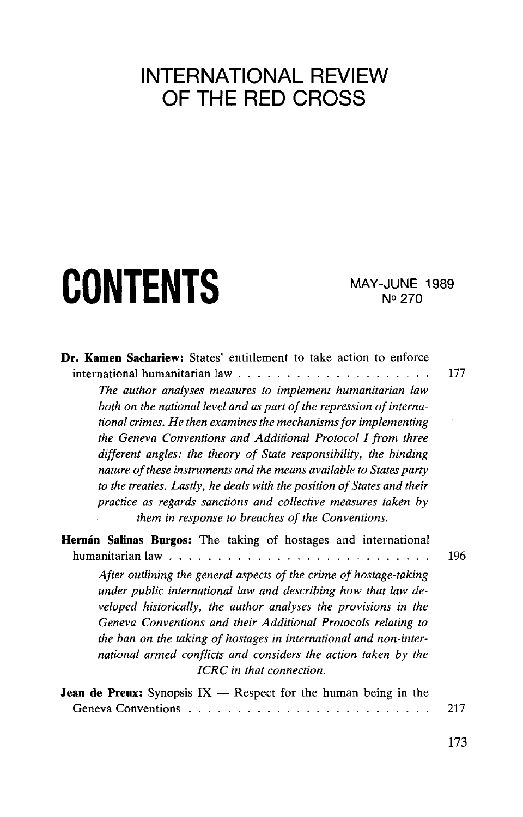### INTERNATIONAL REVIEW OF THE RED CROSS

# CONTENTS MAY-JUNE 1989

N°270

| <b>Dr. Kamen Sachariew:</b> States' entitlement to take action to enforce                                                                                                                                                                                                                                                                                                                                                                                                                                                                                                                                         | 177 |
|-------------------------------------------------------------------------------------------------------------------------------------------------------------------------------------------------------------------------------------------------------------------------------------------------------------------------------------------------------------------------------------------------------------------------------------------------------------------------------------------------------------------------------------------------------------------------------------------------------------------|-----|
| The author analyses measures to implement humanitarian law<br>both on the national level and as part of the repression of interna-<br>tional crimes. He then examines the mechanisms for implementing<br>the Geneva Conventions and Additional Protocol I from three<br>different angles: the theory of State responsibility, the binding<br>nature of these instruments and the means available to States party<br>to the treaties. Lastly, he deals with the position of States and their<br>practice as regards sanctions and collective measures taken by<br>them in response to breaches of the Conventions. |     |
| <b>Hernán Salinas Burgos:</b> The taking of hostages and international                                                                                                                                                                                                                                                                                                                                                                                                                                                                                                                                            | 196 |
| After outlining the general aspects of the crime of hostage-taking<br>under public international law and describing how that law de-<br>veloped historically, the author analyses the provisions in the<br>Geneva Conventions and their Additional Protocols relating to<br>the ban on the taking of hostages in international and non-inter-<br>national armed conflicts and considers the action taken by the<br>ICRC in that connection.                                                                                                                                                                       |     |
| <b>Jean de Preux:</b> Synopsis $IX$ – Respect for the human being in the                                                                                                                                                                                                                                                                                                                                                                                                                                                                                                                                          | 217 |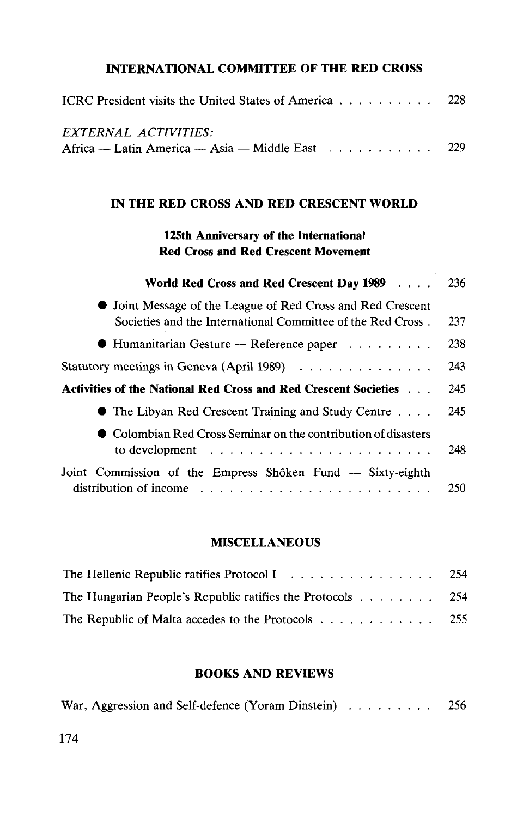#### **INTERNATIONAL COMMITTEE OF THE RED CROSS**

| ICRC President visits the United States of America 228                    |  |  |
|---------------------------------------------------------------------------|--|--|
| EXTERNAL ACTIVITIES:                                                      |  |  |
| Africa — Latin America — Asia — Middle East $\dots \dots \dots \dots$ 229 |  |  |

#### **IN THE RED CROSS AND RED CRESCENT WORLD**

#### **125th Anniversary of the International Red Cross and Red Crescent Movement**

| World Red Cross and Red Crescent Day 1989                                                                                                      | 236 |
|------------------------------------------------------------------------------------------------------------------------------------------------|-----|
| • Joint Message of the League of Red Cross and Red Crescent<br>Societies and the International Committee of the Red Cross.                     | 237 |
| $\bullet$ Humanitarian Gesture — Reference paper                                                                                               | 238 |
| Statutory meetings in Geneva (April 1989) $\ldots \ldots \ldots \ldots$                                                                        | 243 |
| Activities of the National Red Cross and Red Crescent Societies                                                                                | 245 |
| $\bullet$ The Libyan Red Crescent Training and Study Centre $\dots$                                                                            | 245 |
| $\bullet$ Colombian Red Cross Seminar on the contribution of disasters<br>to development $\ldots \ldots \ldots \ldots \ldots \ldots \ldots$    | 248 |
| Joint Commission of the Empress Shôken Fund — Sixty-eighth<br>distribution of income $\ldots \ldots \ldots \ldots \ldots \ldots \ldots \ldots$ | 250 |

#### **MISCELLANEOUS**

| The Hellenic Republic ratifies Protocol I 254                                     |  |
|-----------------------------------------------------------------------------------|--|
| The Hungarian People's Republic ratifies the Protocols $\ldots \ldots \ldots$ 254 |  |
| The Republic of Malta accedes to the Protocols 255                                |  |

#### **BOOKS AND REVIEWS**

|  | War, Aggression and Self-defence (Yoram Dinstein) | 256 |
|--|---------------------------------------------------|-----|
|  |                                                   |     |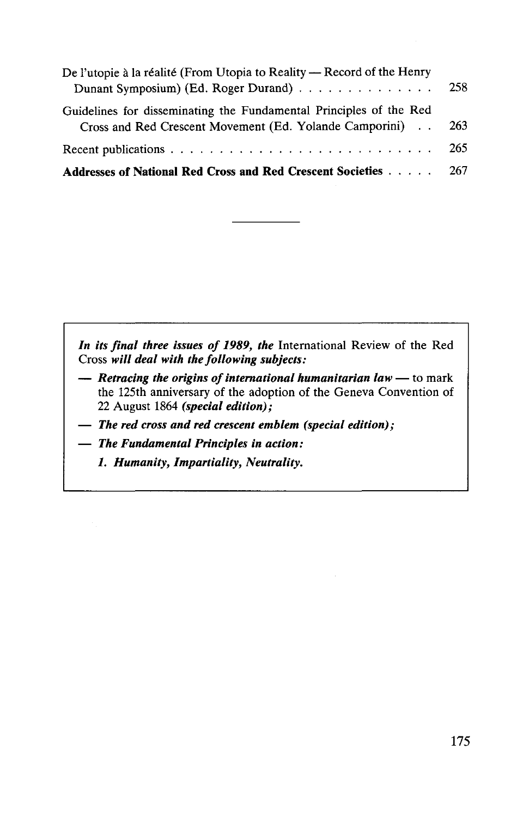| De l'utopie à la réalité (From Utopia to Reality - Record of the Henry         |     |
|--------------------------------------------------------------------------------|-----|
| Dunant Symposium) (Ed. Roger Durand)                                           | 258 |
| Guidelines for disseminating the Fundamental Principles of the Red             |     |
| Cross and Red Crescent Movement (Ed. Yolande Camporini)                        | 263 |
|                                                                                | 265 |
| <b>Addresses of National Red Cross and Red Crescent Societies Actual Cross</b> |     |

*In its final three issues of 1989, the* International Review of the Red Cross *will deal with the following subjects:*

- **—** *Retracing the origins of international humanitarian law* to mark the 125th anniversary of the adoption of the Geneva Convention of 22 August 1864 *(special edition);*
- **—** *The red cross and red crescent emblem (special edition);*
- **—** *The Fundamental Principles in action:*
	- *1. Humanity, Impartiality, Neutrality.*